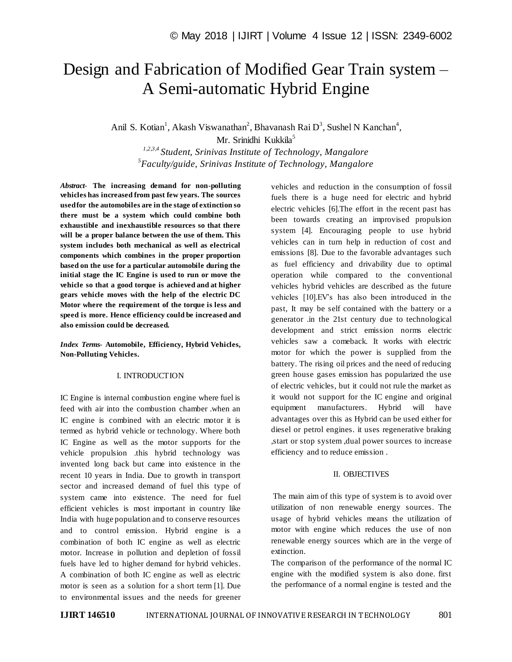# Design and Fabrication of Modified Gear Train system – A Semi-automatic Hybrid Engine

Anil S. Kotian<sup>1</sup>, Akash Viswanathan<sup>2</sup>, Bhavanash Rai D<sup>3</sup>, Sushel N Kanchan<sup>4</sup>,

Mr. Srinidhi Kukkila<sup>5</sup>

*1,2,3,4 Student, Srinivas Institute of Technology, Mangalore 5 Faculty/guide, Srinivas Institute of Technology, Mangalore*

*Abstract*- **The increasing demand for non-polluting vehicles has increased from past few years. The sources used for the automobiles are in the stage of extinction so there must be a system which could combine both exhaustible and inexhaustible resources so that there will be a proper balance between the use of them. This system includes both mechanical as well as electrical components which combines in the proper proportion based on the use for a particular automobile during the initial stage the IC Engine is used to run or move the vehicle so that a good torque is achieved and at higher gears vehicle moves with the help of the electric DC Motor where the requirement of the torque is less and speed is more. Hence efficiency could be increased and also emission could be decreased.**

*Index Terms***- Automobile, Efficiency, Hybrid Vehicles, Non-Polluting Vehicles.**

### I. INTRODUCTION

IC Engine is internal combustion engine where fuel is feed with air into the combustion chamber .when an IC engine is combined with an electric motor it is termed as hybrid vehicle or technology. Where both IC Engine as well as the motor supports for the vehicle propulsion .this hybrid technology was invented long back but came into existence in the recent 10 years in India. Due to growth in transport sector and increased demand of fuel this type of system came into existence. The need for fuel efficient vehicles is most important in country like India with huge population and to conserve resources and to control emission. Hybrid engine is a combination of both IC engine as well as electric motor. Increase in pollution and depletion of fossil fuels have led to higher demand for hybrid vehicles. A combination of both IC engine as well as electric motor is seen as a solution for a short term [1]. Due to environmental issues and the needs for greener vehicles and reduction in the consumption of fossil fuels there is a huge need for electric and hybrid electric vehicles [6].The effort in the recent past has been towards creating an improvised propulsion system [4]. Encouraging people to use hybrid vehicles can in turn help in reduction of cost and emissions [8]. Due to the favorable advantages such as fuel efficiency and drivability due to optimal operation while compared to the conventional vehicles hybrid vehicles are described as the future vehicles [10].EV's has also been introduced in the past, It may be self contained with the battery or a generator .in the 21st century due to technological development and strict emission norms electric vehicles saw a comeback. It works with electric motor for which the power is supplied from the battery. The rising oil prices and the need of reducing green house gases emission has popularized the use of electric vehicles, but it could not rule the market as it would not support for the IC engine and original equipment manufacturers. Hybrid will have advantages over this as Hybrid can be used either for diesel or petrol engines. it uses regenerative braking ,start or stop system ,dual power sources to increase efficiency and to reduce emission .

#### II. OBJECTIVES

The main aim of this type of system is to avoid over utilization of non renewable energy sources. The usage of hybrid vehicles means the utilization of motor with engine which reduces the use of non renewable energy sources which are in the verge of extinction.

The comparison of the performance of the normal IC engine with the modified system is also done. first the performance of a normal engine is tested and the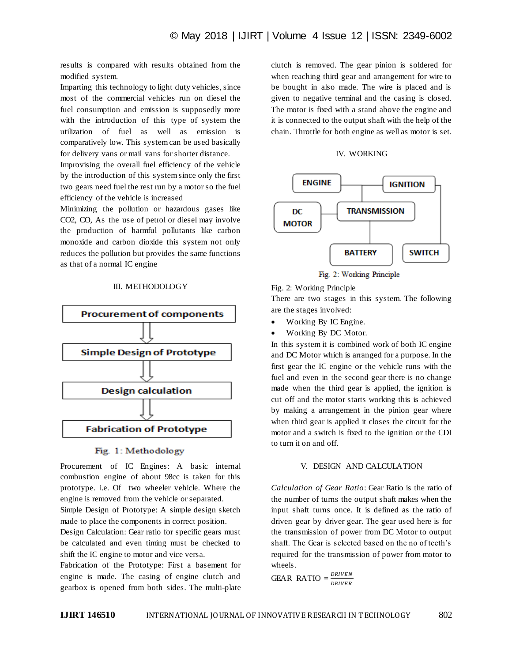results is compared with results obtained from the modified system.

Imparting this technology to light duty vehicles, since most of the commercial vehicles run on diesel the fuel consumption and emission is supposedly more with the introduction of this type of system the utilization of fuel as well as emission is comparatively low. This system can be used basically for delivery vans or mail vans for shorter distance.

Improvising the overall fuel efficiency of the vehicle by the introduction of this system since only the first two gears need fuel the rest run by a motor so the fuel efficiency of the vehicle is increased

Minimizing the pollution or hazardous gases like CO2, CO, As the use of petrol or diesel may involve the production of harmful pollutants like carbon monoxide and carbon dioxide this system not only reduces the pollution but provides the same functions as that of a normal IC engine

## III. METHODOLOGY



### Fig. 1: Methodology

Procurement of IC Engines: A basic internal combustion engine of about 98cc is taken for this prototype. i.e. Of two wheeler vehicle. Where the engine is removed from the vehicle or separated.

Simple Design of Prototype: A simple design sketch made to place the components in correct position.

Design Calculation: Gear ratio for specific gears must be calculated and even timing must be checked to shift the IC engine to motor and vice versa.

Fabrication of the Prototype: First a basement for engine is made. The casing of engine clutch and gearbox is opened from both sides. The multi-plate clutch is removed. The gear pinion is soldered for when reaching third gear and arrangement for wire to be bought in also made. The wire is placed and is given to negative terminal and the casing is closed. The motor is fixed with a stand above the engine and it is connected to the output shaft with the help of the chain. Throttle for both engine as well as motor is set.

## IV. WORKING



Fig. 2: Working Principle

There are two stages in this system. The following are the stages involved:

- Working By IC Engine.
- Working By DC Motor.

In this system it is combined work of both IC engine and DC Motor which is arranged for a purpose. In the first gear the IC engine or the vehicle runs with the fuel and even in the second gear there is no change made when the third gear is applied, the ignition is cut off and the motor starts working this is achieved by making a arrangement in the pinion gear where when third gear is applied it closes the circuit for the motor and a switch is fixed to the ignition or the CDI to turn it on and off.

### V. DESIGN AND CALCULATION

*Calculation of Gear Ratio*: Gear Ratio is the ratio of the number of turns the output shaft makes when the input shaft turns once. It is defined as the ratio of driven gear by driver gear. The gear used here is for the transmission of power from DC Motor to output shaft. The Gear is selected based on the no of teeth's required for the transmission of power from motor to wheels.

GEAR RATIO  $=\frac{D}{D}$ D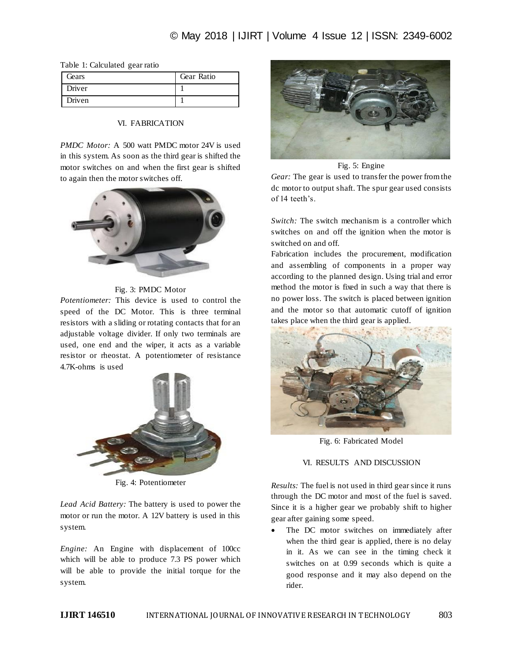|  |  | Table 1: Calculated gear ratio |  |
|--|--|--------------------------------|--|
|--|--|--------------------------------|--|

| Gears  | Gear Ratio |
|--------|------------|
| Driver |            |
| Driven |            |

## VI. FABRICATION

*PMDC Motor:* A 500 watt PMDC motor 24V is used in this system. As soon as the third gear is shifted the motor switches on and when the first gear is shifted to again then the motor switches off.



## Fig. 3: PMDC Motor

*Potentiometer:* This device is used to control the speed of the DC Motor. This is three terminal resistors with a sliding or rotating contacts that for an adjustable voltage divider. If only two terminals are used, one end and the wiper, it acts as a variable resistor or rheostat. A potentiometer of resistance 4.7K-ohms is used



Fig. 4: Potentiometer

*Lead Acid Battery:* The battery is used to power the motor or run the motor. A 12V battery is used in this system.

*Engine:* An Engine with displacement of 100cc which will be able to produce 7.3 PS power which will be able to provide the initial torque for the system.



Fig. 5: Engine

*Gear:* The gear is used to transfer the power from the dc motor to output shaft. The spur gear used consists of 14 teeth's.

*Switch:* The switch mechanism is a controller which switches on and off the ignition when the motor is switched on and off.

Fabrication includes the procurement, modification and assembling of components in a proper way according to the planned design. Using trial and error method the motor is fixed in such a way that there is no power loss. The switch is placed between ignition and the motor so that automatic cutoff of ignition takes place when the third gear is applied.



Fig. 6: Fabricated Model

## VI. RESULTS AND DISCUSSION

*Results:* The fuel is not used in third gear since it runs through the DC motor and most of the fuel is saved. Since it is a higher gear we probably shift to higher gear after gaining some speed.

 The DC motor switches on immediately after when the third gear is applied, there is no delay in it. As we can see in the timing check it switches on at 0.99 seconds which is quite a good response and it may also depend on the rider.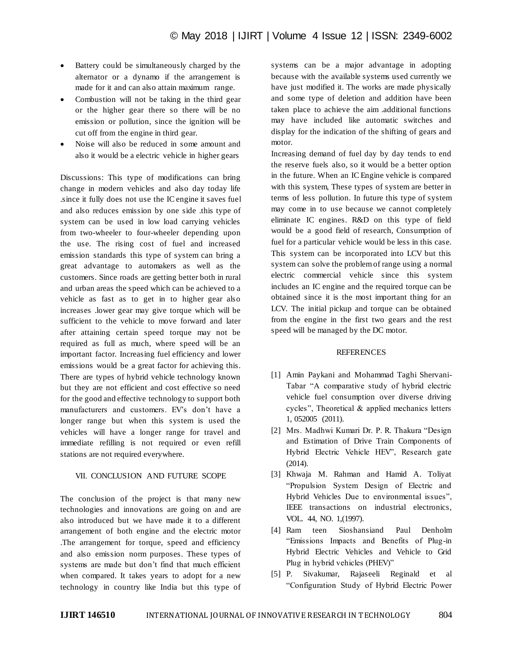- Battery could be simultaneously charged by the alternator or a dynamo if the arrangement is made for it and can also attain maximum range.
- Combustion will not be taking in the third gear or the higher gear there so there will be no emission or pollution, since the ignition will be cut off from the engine in third gear.
- Noise will also be reduced in some amount and also it would be a electric vehicle in higher gears

Discussions: This type of modifications can bring change in modern vehicles and also day today life .since it fully does not use the IC engine it saves fuel and also reduces emission by one side .this type of system can be used in low load carrying vehicles from two-wheeler to four-wheeler depending upon the use. The rising cost of fuel and increased emission standards this type of system can bring a great advantage to automakers as well as the customers. Since roads are getting better both in rural and urban areas the speed which can be achieved to a vehicle as fast as to get in to higher gear also increases .lower gear may give torque which will be sufficient to the vehicle to move forward and later after attaining certain speed torque may not be required as full as much, where speed will be an important factor. Increasing fuel efficiency and lower emissions would be a great factor for achieving this. There are types of hybrid vehicle technology known but they are not efficient and cost effective so need for the good and effective technology to support both manufacturers and customers. EV's don't have a longer range but when this system is used the vehicles will have a longer range for travel and immediate refilling is not required or even refill stations are not required everywhere.

### VII. CONCLUSION AND FUTURE SCOPE

The conclusion of the project is that many new technologies and innovations are going on and are also introduced but we have made it to a different arrangement of both engine and the electric motor .The arrangement for torque, speed and efficiency and also emission norm purposes. These types of systems are made but don't find that much efficient when compared. It takes years to adopt for a new technology in country like India but this type of systems can be a major advantage in adopting because with the available systems used currently we have just modified it. The works are made physically and some type of deletion and addition have been taken place to achieve the aim .additional functions may have included like automatic switches and display for the indication of the shifting of gears and motor.

Increasing demand of fuel day by day tends to end the reserve fuels also, so it would be a better option in the future. When an IC Engine vehicle is compared with this system, These types of system are better in terms of less pollution. In future this type of system may come in to use because we cannot completely eliminate IC engines. R&D on this type of field would be a good field of research, Consumption of fuel for a particular vehicle would be less in this case. This system can be incorporated into LCV but this system can solve the problem of range using a normal electric commercial vehicle since this system includes an IC engine and the required torque can be obtained since it is the most important thing for an LCV. The initial pickup and torque can be obtained from the engine in the first two gears and the rest speed will be managed by the DC motor.

### REFERENCES

- [1] Amin Paykani and Mohammad Taghi Shervani-Tabar "A comparative study of hybrid electric vehicle fuel consumption over diverse driving cycles", Theoretical & applied mechanics letters 1, 052005 (2011).
- [2] Mrs. Madhwi Kumari Dr. P. R. Thakura "Design and Estimation of Drive Train Components of Hybrid Electric Vehicle HEV", Research gate (2014).
- [3] Khwaja M. Rahman and Hamid A. Toliyat "Propulsion System Design of Electric and Hybrid Vehicles Due to environmental issues", IEEE transactions on industrial electronics, VOL. 44, NO. 1,(1997).
- [4] Ram teen Sioshansiand Paul Denholm "Emissions Impacts and Benefits of Plug-in Hybrid Electric Vehicles and Vehicle to Grid Plug in hybrid vehicles (PHEV)"
- [5] P. Sivakumar, Rajaseeli Reginald et al "Configuration Study of Hybrid Electric Power